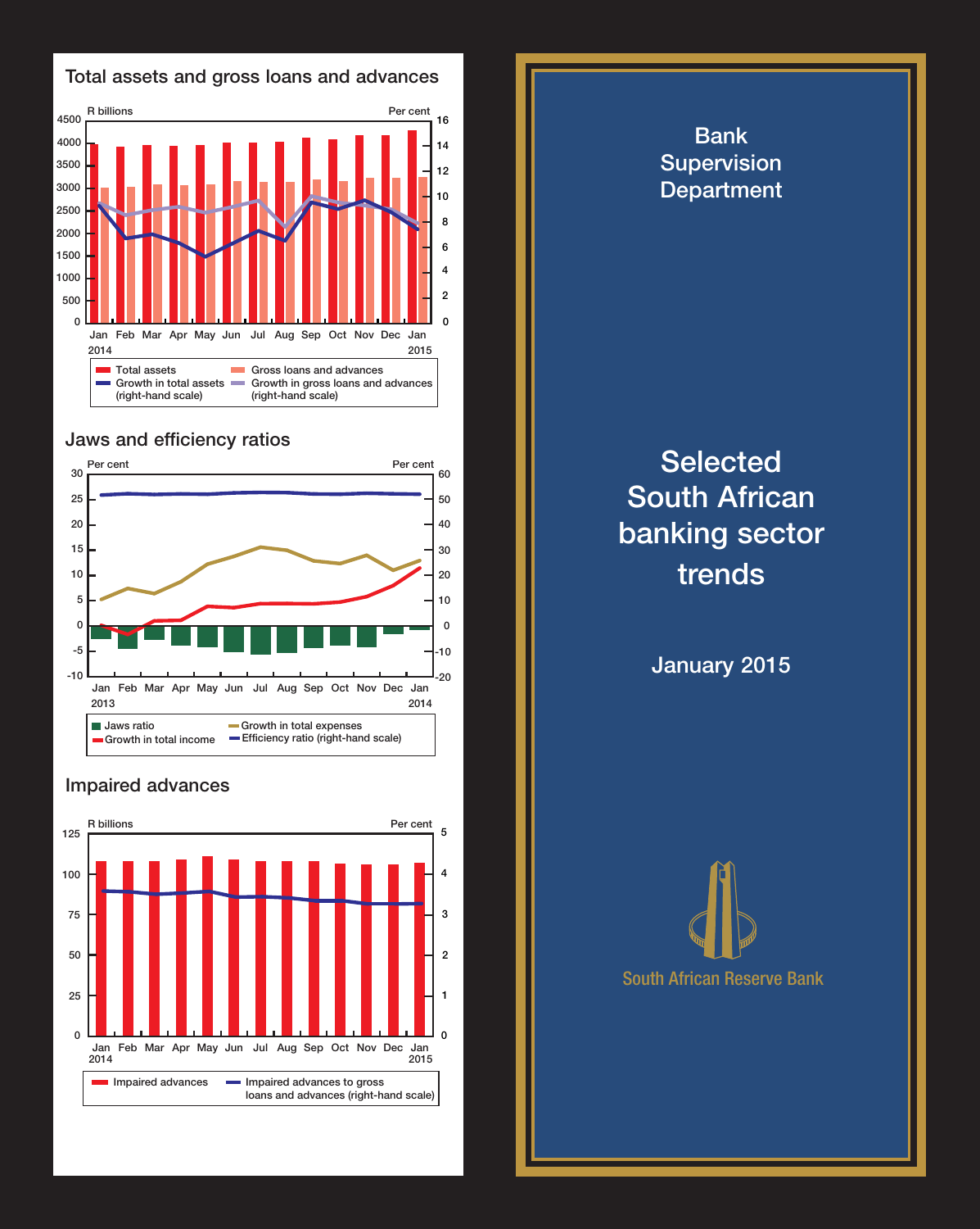

## Jaws and efficiency ratios



## Impaired advances



Bank Supervision **Department Selected** South African banking sector trends